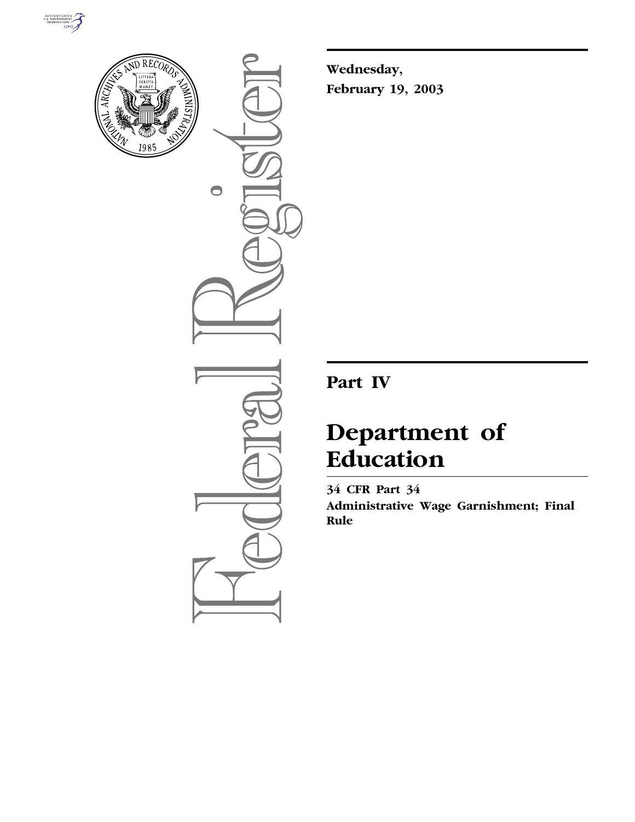



 $\bullet$ 

**Wednesday, February 19, 2003**

# **Part IV**

# **Department of Education**

**34 CFR Part 34 Administrative Wage Garnishment; Final Rule**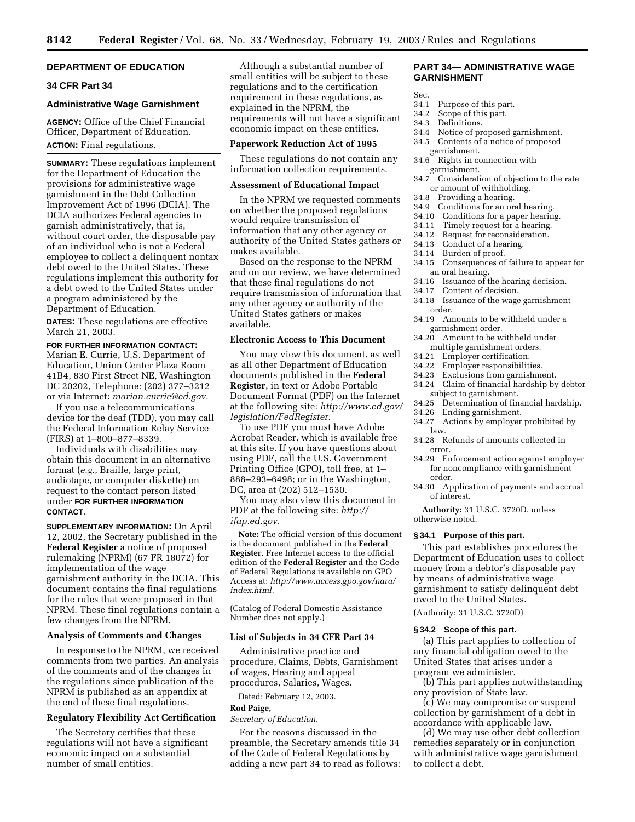# **DEPARTMENT OF EDUCATION**

# **34 CFR Part 34**

# **Administrative Wage Garnishment**

**AGENCY:** Office of the Chief Financial Officer, Department of Education. **ACTION:** Final regulations.

**SUMMARY:** These regulations implement for the Department of Education the provisions for administrative wage garnishment in the Debt Collection Improvement Act of 1996 (DCIA). The DCIA authorizes Federal agencies to garnish administratively, that is, without court order, the disposable pay of an individual who is not a Federal employee to collect a delinquent nontax debt owed to the United States. These regulations implement this authority for a debt owed to the United States under a program administered by the Department of Education.

**DATES:** These regulations are effective March 21, 2003.

#### **FOR FURTHER INFORMATION CONTACT:**

Marian E. Currie, U.S. Department of Education, Union Center Plaza Room 41B4, 830 First Street NE, Washington DC 20202, Telephone: (202) 377–3212 or via Internet: *marian.currie@ed.gov.*

If you use a telecommunications device for the deaf (TDD), you may call the Federal Information Relay Service (FIRS) at 1–800–877–8339.

Individuals with disabilities may obtain this document in an alternative format (*e.g.*, Braille, large print, audiotape, or computer diskette) on request to the contact person listed under **FOR FURTHER INFORMATION CONTACT**.

**SUPPLEMENTARY INFORMATION:** On April 12, 2002, the Secretary published in the **Federal Register** a notice of proposed rulemaking (NPRM) (67 FR 18072) for implementation of the wage garnishment authority in the DCIA. This document contains the final regulations for the rules that were proposed in that NPRM. These final regulations contain a few changes from the NPRM.

#### **Analysis of Comments and Changes**

In response to the NPRM, we received comments from two parties. An analysis of the comments and of the changes in the regulations since publication of the NPRM is published as an appendix at the end of these final regulations.

# **Regulatory Flexibility Act Certification**

The Secretary certifies that these regulations will not have a significant economic impact on a substantial number of small entities.

Although a substantial number of small entities will be subject to these regulations and to the certification requirement in these regulations, as explained in the NPRM, the requirements will not have a significant economic impact on these entities.

#### **Paperwork Reduction Act of 1995**

These regulations do not contain any information collection requirements.

#### **Assessment of Educational Impact**

In the NPRM we requested comments on whether the proposed regulations would require transmission of information that any other agency or authority of the United States gathers or makes available.

Based on the response to the NPRM and on our review, we have determined that these final regulations do not require transmission of information that any other agency or authority of the United States gathers or makes available.

### **Electronic Access to This Document**

You may view this document, as well as all other Department of Education documents published in the **Federal Register**, in text or Adobe Portable Document Format (PDF) on the Internet at the following site: *http://www.ed.gov/ legislation/FedRegister.*

To use PDF you must have Adobe Acrobat Reader, which is available free at this site. If you have questions about using PDF, call the U.S. Government Printing Office (GPO), toll free, at 1– 888–293–6498; or in the Washington, DC, area at (202) 512–1530.

You may also view this document in PDF at the following site: *http:// ifap.ed.gov.*

**Note:** The official version of this document is the document published in the **Federal Register**. Free Internet access to the official edition of the **Federal Register** and the Code of Federal Regulations is available on GPO Access at: *http://www.access.gpo.gov/nara/ index.html.*

(Catalog of Federal Domestic Assistance Number does not apply.)

#### **List of Subjects in 34 CFR Part 34**

Administrative practice and procedure, Claims, Debts, Garnishment of wages, Hearing and appeal procedures, Salaries, Wages.

Dated: February 12, 2003.

# **Rod Paige,**

*Secretary of Education.*

For the reasons discussed in the preamble, the Secretary amends title 34 of the Code of Federal Regulations by adding a new part 34 to read as follows:

# **PART 34— ADMINISTRATIVE WAGE GARNISHMENT**

Sec.<br>34.1

- 34.1 Purpose of this part.<br>34.2 Scope of this part
- 34.2 Scope of this part.<br>34.3 Definitions.
- 
- 34.3 Definitions.<br>34.4 Notice of pr 34.4 Notice of proposed garnishment.<br>34.5 Contents of a notice of proposed
- Contents of a notice of proposed garnishment.
- 34.6 Rights in connection with garnishment.
- 34.7 Consideration of objection to the rate or amount of withholding.
- 34.8 Providing a hearing.
- 34.9 Conditions for an oral hearing.<br>34.10 Conditions for a paper hearing.
- 34.10 Conditions for a paper hearing.<br>34.11 Timely request for a hearing.
- 34.11 Timely request for a hearing.<br>34.12 Request for reconsideration.
- 34.12 Request for reconsideration.<br>34.13 Conduct of a hearing.
- Conduct of a hearing.
- 34.14 Burden of proof.
- Consequences of failure to appear for an oral hearing.<br>34.16 Issuance of t
- 34.16 Issuance of the hearing decision.<br>34.17 Content of decision.
- 34.17 Content of decision.<br>34.18 Issuance of the wage
- Issuance of the wage garnishment order.
- 34.19 Amounts to be withheld under a garnishment order.
- 34.20 Amount to be withheld under multiple garnishment orders.<br>34.21 Employer certification.
- 34.21 Employer certification.<br>34.22 Employer responsibility
- 34.22 Employer responsibilities.
- 34.23 Exclusions from garnishment.<br>34.24 Claim of financial hardship by
- Claim of financial hardship by debtor subject to garnishment.
- 34.25 Determination of financial hardship.<br>34.26 Ending garnishment
- 34.26 Ending garnishment.<br>34.27 Actions by employer
- Actions by employer prohibited by law.
- 34.28 Refunds of amounts collected in error.
- 34.29 Enforcement action against employer for noncompliance with garnishment order.
- 34.30 Application of payments and accrual of interest.

**Authority:** 31 U.S.C. 3720D, unless otherwise noted.

#### **§ 34.1 Purpose of this part.**

This part establishes procedures the Department of Education uses to collect money from a debtor's disposable pay by means of administrative wage garnishment to satisfy delinquent debt owed to the United States.

(Authority: 31 U.S.C. 3720D)

#### **§ 34.2 Scope of this part.**

(a) This part applies to collection of any financial obligation owed to the United States that arises under a program we administer.

(b) This part applies notwithstanding any provision of State law.

(c) We may compromise or suspend collection by garnishment of a debt in accordance with applicable law.

(d) We may use other debt collection remedies separately or in conjunction with administrative wage garnishment to collect a debt.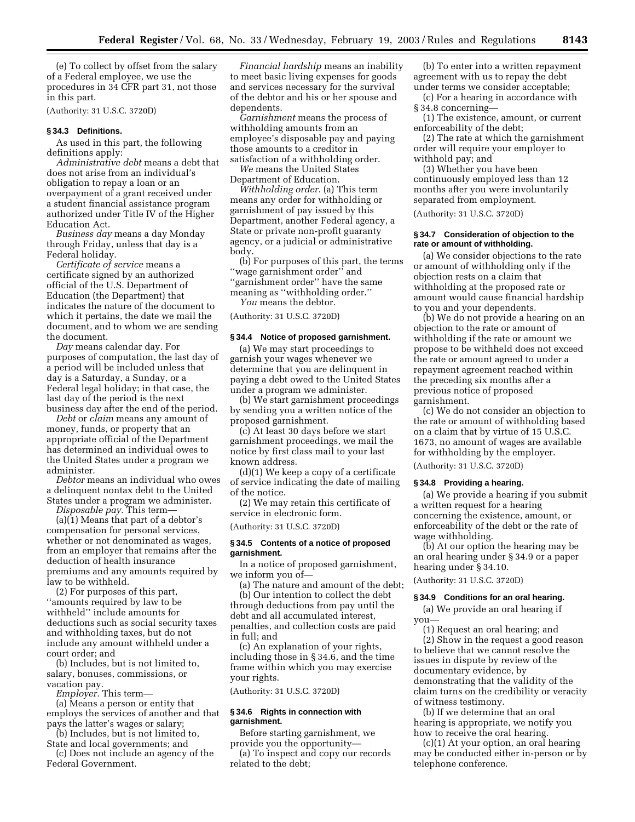(e) To collect by offset from the salary of a Federal employee, we use the procedures in 34 CFR part 31, not those in this part.

(Authority: 31 U.S.C. 3720D)

#### **§ 34.3 Definitions.**

As used in this part, the following definitions apply:

*Administrative debt* means a debt that does not arise from an individual's obligation to repay a loan or an overpayment of a grant received under a student financial assistance program authorized under Title IV of the Higher Education Act.

*Business day* means a day Monday through Friday, unless that day is a Federal holiday.

*Certificate of service* means a certificate signed by an authorized official of the U.S. Department of Education (the Department) that indicates the nature of the document to which it pertains, the date we mail the document, and to whom we are sending the document.

*Day* means calendar day. For purposes of computation, the last day of a period will be included unless that day is a Saturday, a Sunday, or a Federal legal holiday; in that case, the last day of the period is the next business day after the end of the period.

*Debt* or *claim* means any amount of money, funds, or property that an appropriate official of the Department has determined an individual owes to the United States under a program we administer.

*Debtor* means an individual who owes a delinquent nontax debt to the United States under a program we administer.

*Disposable pay.* This term—

(a)(1) Means that part of a debtor's compensation for personal services, whether or not denominated as wages, from an employer that remains after the deduction of health insurance premiums and any amounts required by law to be withheld.

(2) For purposes of this part, ''amounts required by law to be withheld'' include amounts for deductions such as social security taxes and withholding taxes, but do not include any amount withheld under a court order; and

(b) Includes, but is not limited to, salary, bonuses, commissions, or vacation pay.

*Employer.* This term—

(a) Means a person or entity that employs the services of another and that pays the latter's wages or salary;

(b) Includes, but is not limited to, State and local governments; and (c) Does not include an agency of the

Federal Government.

*Financial hardship* means an inability to meet basic living expenses for goods and services necessary for the survival of the debtor and his or her spouse and dependents.

*Garnishment* means the process of withholding amounts from an employee's disposable pay and paying those amounts to a creditor in satisfaction of a withholding order.

*We* means the United States Department of Education.

*Withholding order.* (a) This term means any order for withholding or garnishment of pay issued by this Department, another Federal agency, a State or private non-profit guaranty agency, or a judicial or administrative body.

(b) For purposes of this part, the terms ''wage garnishment order'' and ''garnishment order'' have the same meaning as ''withholding order.''

*You* means the debtor.

(Authority: 31 U.S.C. 3720D)

# **§ 34.4 Notice of proposed garnishment.**

(a) We may start proceedings to garnish your wages whenever we determine that you are delinquent in paying a debt owed to the United States under a program we administer.

(b) We start garnishment proceedings by sending you a written notice of the proposed garnishment.

(c) At least 30 days before we start garnishment proceedings, we mail the notice by first class mail to your last known address.

(d)(1) We keep a copy of a certificate of service indicating the date of mailing of the notice.

(2) We may retain this certificate of service in electronic form.

(Authority: 31 U.S.C. 3720D)

#### **§ 34.5 Contents of a notice of proposed garnishment.**

In a notice of proposed garnishment, we inform you of—

(a) The nature and amount of the debt; (b) Our intention to collect the debt through deductions from pay until the debt and all accumulated interest, penalties, and collection costs are paid in full; and

(c) An explanation of your rights, including those in § 34.6, and the time frame within which you may exercise your rights.

(Authority: 31 U.S.C. 3720D)

# **§ 34.6 Rights in connection with garnishment.**

Before starting garnishment, we provide you the opportunity—

(a) To inspect and copy our records related to the debt;

(b) To enter into a written repayment agreement with us to repay the debt under terms we consider acceptable;

(c) For a hearing in accordance with § 34.8 concerning—

(1) The existence, amount, or current enforceability of the debt;

(2) The rate at which the garnishment order will require your employer to withhold pay; and

(3) Whether you have been continuously employed less than 12 months after you were involuntarily separated from employment.

(Authority: 31 U.S.C. 3720D)

#### **§ 34.7 Consideration of objection to the rate or amount of withholding.**

(a) We consider objections to the rate or amount of withholding only if the objection rests on a claim that withholding at the proposed rate or amount would cause financial hardship to you and your dependents.

(b) We do not provide a hearing on an objection to the rate or amount of withholding if the rate or amount we propose to be withheld does not exceed the rate or amount agreed to under a repayment agreement reached within the preceding six months after a previous notice of proposed garnishment.

(c) We do not consider an objection to the rate or amount of withholding based on a claim that by virtue of 15 U.S.C. 1673, no amount of wages are available for withholding by the employer.

(Authority: 31 U.S.C. 3720D)

#### **§ 34.8 Providing a hearing.**

(a) We provide a hearing if you submit a written request for a hearing concerning the existence, amount, or enforceability of the debt or the rate of wage withholding.

(b) At our option the hearing may be an oral hearing under § 34.9 or a paper hearing under § 34.10.

(Authority: 31 U.S.C. 3720D)

#### **§ 34.9 Conditions for an oral hearing.**

(a) We provide an oral hearing if you—

(1) Request an oral hearing; and (2) Show in the request a good reason to believe that we cannot resolve the issues in dispute by review of the documentary evidence, by demonstrating that the validity of the claim turns on the credibility or veracity of witness testimony.

(b) If we determine that an oral hearing is appropriate, we notify you how to receive the oral hearing.

(c)(1) At your option, an oral hearing may be conducted either in-person or by telephone conference.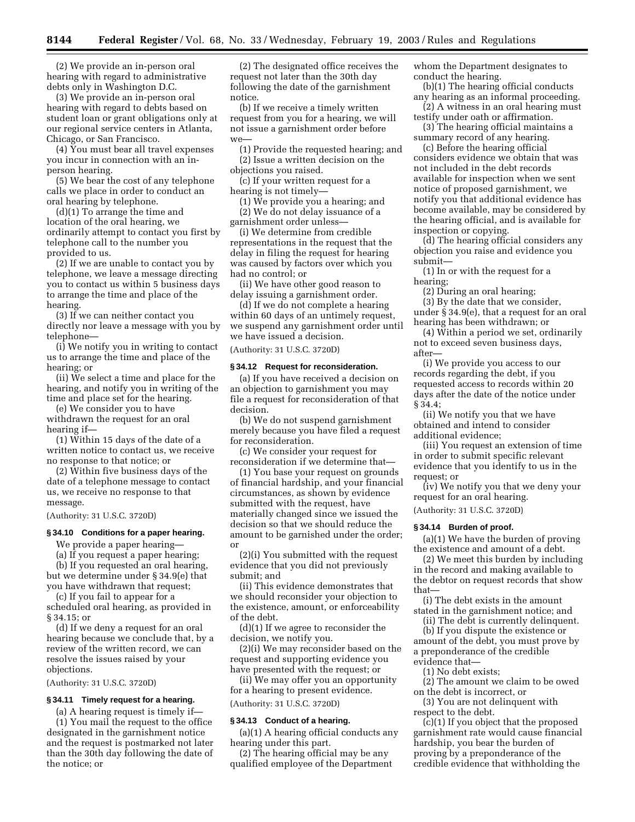(2) We provide an in-person oral hearing with regard to administrative debts only in Washington D.C.

(3) We provide an in-person oral hearing with regard to debts based on student loan or grant obligations only at our regional service centers in Atlanta, Chicago, or San Francisco.

(4) You must bear all travel expenses you incur in connection with an inperson hearing.

(5) We bear the cost of any telephone calls we place in order to conduct an oral hearing by telephone.

(d)(1) To arrange the time and location of the oral hearing, we ordinarily attempt to contact you first by telephone call to the number you provided to us.

(2) If we are unable to contact you by telephone, we leave a message directing you to contact us within 5 business days to arrange the time and place of the hearing.

(3) If we can neither contact you directly nor leave a message with you by telephone—

(i) We notify you in writing to contact us to arrange the time and place of the hearing; or

(ii) We select a time and place for the hearing, and notify you in writing of the time and place set for the hearing.

(e) We consider you to have withdrawn the request for an oral hearing if—

(1) Within 15 days of the date of a written notice to contact us, we receive no response to that notice; or

(2) Within five business days of the date of a telephone message to contact us, we receive no response to that message.

(Authority: 31 U.S.C. 3720D)

# **§ 34.10 Conditions for a paper hearing.**

We provide a paper hearing—

(a) If you request a paper hearing; (b) If you requested an oral hearing,

but we determine under § 34.9(e) that you have withdrawn that request;

(c) If you fail to appear for a scheduled oral hearing, as provided in § 34.15; or

(d) If we deny a request for an oral hearing because we conclude that, by a review of the written record, we can resolve the issues raised by your objections.

(Authority: 31 U.S.C. 3720D)

# **§ 34.11 Timely request for a hearing.**

(a) A hearing request is timely if— (1) You mail the request to the office designated in the garnishment notice and the request is postmarked not later than the 30th day following the date of the notice; or

(2) The designated office receives the request not later than the 30th day following the date of the garnishment notice.

(b) If we receive a timely written request from you for a hearing, we will not issue a garnishment order before we

(1) Provide the requested hearing; and (2) Issue a written decision on the

objections you raised. (c) If your written request for a hearing is not timely—

(1) We provide you a hearing; and (2) We do not delay issuance of a garnishment order unless—

(i) We determine from credible representations in the request that the delay in filing the request for hearing was caused by factors over which you had no control; or

(ii) We have other good reason to delay issuing a garnishment order.

(d) If we do not complete a hearing within 60 days of an untimely request, we suspend any garnishment order until we have issued a decision.

(Authority: 31 U.S.C. 3720D)

#### **§ 34.12 Request for reconsideration.**

(a) If you have received a decision on an objection to garnishment you may file a request for reconsideration of that decision.

(b) We do not suspend garnishment merely because you have filed a request for reconsideration.

(c) We consider your request for reconsideration if we determine that—

(1) You base your request on grounds of financial hardship, and your financial circumstances, as shown by evidence submitted with the request, have materially changed since we issued the decision so that we should reduce the amount to be garnished under the order; or

(2)(i) You submitted with the request evidence that you did not previously submit; and

(ii) This evidence demonstrates that we should reconsider your objection to the existence, amount, or enforceability of the debt.

(d)(1) If we agree to reconsider the decision, we notify you.

(2)(i) We may reconsider based on the request and supporting evidence you have presented with the request; or

(ii) We may offer you an opportunity for a hearing to present evidence.

(Authority: 31 U.S.C. 3720D)

#### **§ 34.13 Conduct of a hearing.**

(a)(1) A hearing official conducts any hearing under this part.

(2) The hearing official may be any qualified employee of the Department whom the Department designates to conduct the hearing.

(b)(1) The hearing official conducts any hearing as an informal proceeding.

(2) A witness in an oral hearing must testify under oath or affirmation.

(3) The hearing official maintains a summary record of any hearing.

(c) Before the hearing official considers evidence we obtain that was not included in the debt records available for inspection when we sent notice of proposed garnishment, we notify you that additional evidence has become available, may be considered by the hearing official, and is available for inspection or copying.

(d) The hearing official considers any objection you raise and evidence you submit—

(1) In or with the request for a hearing;

(2) During an oral hearing;

(3) By the date that we consider, under § 34.9(e), that a request for an oral hearing has been withdrawn; or

(4) Within a period we set, ordinarily not to exceed seven business days, after—

(i) We provide you access to our records regarding the debt, if you requested access to records within 20 days after the date of the notice under § 34.4;

(ii) We notify you that we have obtained and intend to consider additional evidence;

(iii) You request an extension of time in order to submit specific relevant evidence that you identify to us in the request; or

(iv) We notify you that we deny your request for an oral hearing.

(Authority: 31 U.S.C. 3720D)

#### **§ 34.14 Burden of proof.**

(a)(1) We have the burden of proving the existence and amount of a debt.

(2) We meet this burden by including in the record and making available to the debtor on request records that show that—

(i) The debt exists in the amount stated in the garnishment notice; and

(ii) The debt is currently delinquent.

(b) If you dispute the existence or amount of the debt, you must prove by a preponderance of the credible evidence that—

(1) No debt exists;

(2) The amount we claim to be owed on the debt is incorrect, or

(3) You are not delinquent with respect to the debt.

(c)(1) If you object that the proposed garnishment rate would cause financial hardship, you bear the burden of proving by a preponderance of the credible evidence that withholding the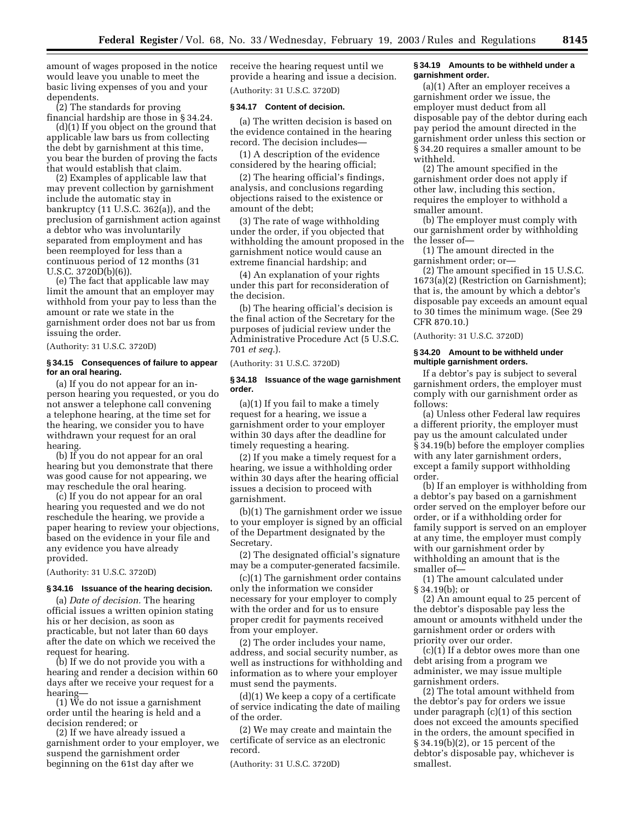amount of wages proposed in the notice would leave you unable to meet the basic living expenses of you and your dependents.

(2) The standards for proving financial hardship are those in § 34.24.

(d)(1) If you object on the ground that applicable law bars us from collecting the debt by garnishment at this time, you bear the burden of proving the facts that would establish that claim.

(2) Examples of applicable law that may prevent collection by garnishment include the automatic stay in bankruptcy (11 U.S.C. 362(a)), and the preclusion of garnishment action against a debtor who was involuntarily separated from employment and has been reemployed for less than a continuous period of 12 months (31  $U.S.C. 3720D(b)(6)$ ).

(e) The fact that applicable law may limit the amount that an employer may withhold from your pay to less than the amount or rate we state in the garnishment order does not bar us from issuing the order.

(Authority: 31 U.S.C. 3720D)

#### **§ 34.15 Consequences of failure to appear for an oral hearing.**

(a) If you do not appear for an inperson hearing you requested, or you do not answer a telephone call convening a telephone hearing, at the time set for the hearing, we consider you to have withdrawn your request for an oral hearing.

(b) If you do not appear for an oral hearing but you demonstrate that there was good cause for not appearing, we may reschedule the oral hearing.

(c) If you do not appear for an oral hearing you requested and we do not reschedule the hearing, we provide a paper hearing to review your objections, based on the evidence in your file and any evidence you have already provided.

(Authority: 31 U.S.C. 3720D)

# **§ 34.16 Issuance of the hearing decision.**

(a) *Date of decision.* The hearing official issues a written opinion stating his or her decision, as soon as practicable, but not later than 60 days after the date on which we received the request for hearing.

(b) If we do not provide you with a hearing and render a decision within 60 days after we receive your request for a hearing—

(1) We do not issue a garnishment order until the hearing is held and a decision rendered; or

(2) If we have already issued a garnishment order to your employer, we suspend the garnishment order beginning on the 61st day after we

receive the hearing request until we provide a hearing and issue a decision. (Authority: 31 U.S.C. 3720D)

#### **§ 34.17 Content of decision.**

(a) The written decision is based on the evidence contained in the hearing record. The decision includes—

(1) A description of the evidence considered by the hearing official;

(2) The hearing official's findings, analysis, and conclusions regarding objections raised to the existence or amount of the debt;

(3) The rate of wage withholding under the order, if you objected that withholding the amount proposed in the garnishment notice would cause an extreme financial hardship; and

(4) An explanation of your rights under this part for reconsideration of the decision.

(b) The hearing official's decision is the final action of the Secretary for the purposes of judicial review under the Administrative Procedure Act (5 U.S.C. 701 *et seq.*).

# (Authority: 31 U.S.C. 3720D)

#### **§ 34.18 Issuance of the wage garnishment order.**

(a)(1) If you fail to make a timely request for a hearing, we issue a garnishment order to your employer within 30 days after the deadline for timely requesting a hearing.

(2) If you make a timely request for a hearing, we issue a withholding order within 30 days after the hearing official issues a decision to proceed with garnishment.

(b)(1) The garnishment order we issue to your employer is signed by an official of the Department designated by the Secretary.

(2) The designated official's signature may be a computer-generated facsimile.

(c)(1) The garnishment order contains only the information we consider necessary for your employer to comply with the order and for us to ensure proper credit for payments received from your employer.

(2) The order includes your name, address, and social security number, as well as instructions for withholding and information as to where your employer must send the payments.

(d)(1) We keep a copy of a certificate of service indicating the date of mailing of the order.

(2) We may create and maintain the certificate of service as an electronic record.

(Authority: 31 U.S.C. 3720D)

#### **§ 34.19 Amounts to be withheld under a garnishment order.**

(a)(1) After an employer receives a garnishment order we issue, the employer must deduct from all disposable pay of the debtor during each pay period the amount directed in the garnishment order unless this section or § 34.20 requires a smaller amount to be withheld.

(2) The amount specified in the garnishment order does not apply if other law, including this section, requires the employer to withhold a smaller amount.

(b) The employer must comply with our garnishment order by withholding the lesser of—

(1) The amount directed in the garnishment order; or—

(2) The amount specified in 15 U.S.C. 1673(a)(2) (Restriction on Garnishment); that is, the amount by which a debtor's disposable pay exceeds an amount equal to 30 times the minimum wage. (See 29 CFR 870.10.)

(Authority: 31 U.S.C. 3720D)

# **§ 34.20 Amount to be withheld under multiple garnishment orders.**

If a debtor's pay is subject to several garnishment orders, the employer must comply with our garnishment order as follows:

(a) Unless other Federal law requires a different priority, the employer must pay us the amount calculated under § 34.19(b) before the employer complies with any later garnishment orders, except a family support withholding order.

(b) If an employer is withholding from a debtor's pay based on a garnishment order served on the employer before our order, or if a withholding order for family support is served on an employer at any time, the employer must comply with our garnishment order by withholding an amount that is the smaller of—

(1) The amount calculated under § 34.19(b); or

(2) An amount equal to 25 percent of the debtor's disposable pay less the amount or amounts withheld under the garnishment order or orders with priority over our order.

(c)(1) If a debtor owes more than one debt arising from a program we administer, we may issue multiple garnishment orders.

(2) The total amount withheld from the debtor's pay for orders we issue under paragraph (c)(1) of this section does not exceed the amounts specified in the orders, the amount specified in § 34.19(b)(2), or 15 percent of the debtor's disposable pay, whichever is smallest.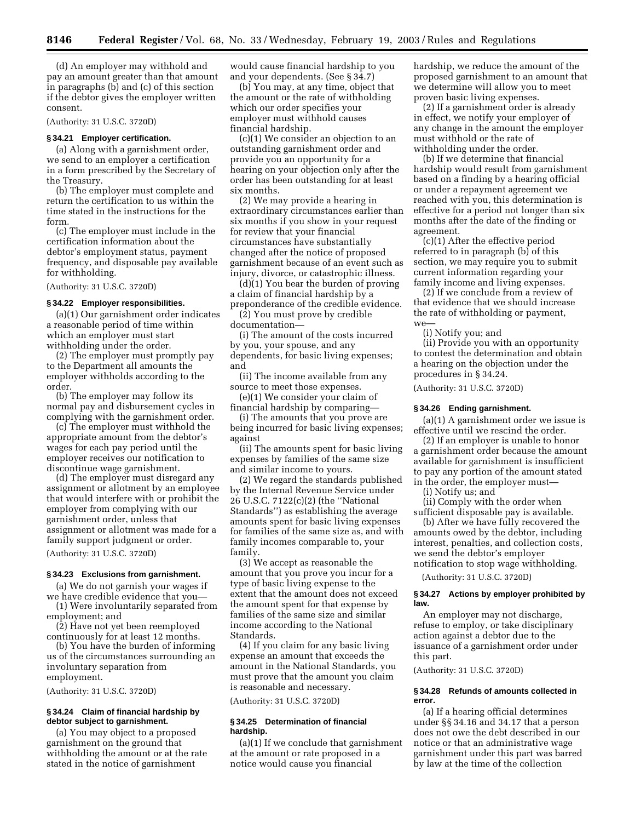(d) An employer may withhold and pay an amount greater than that amount in paragraphs (b) and (c) of this section if the debtor gives the employer written consent.

(Authority: 31 U.S.C. 3720D)

#### **§ 34.21 Employer certification.**

(a) Along with a garnishment order, we send to an employer a certification in a form prescribed by the Secretary of the Treasury.

(b) The employer must complete and return the certification to us within the time stated in the instructions for the form.

(c) The employer must include in the certification information about the debtor's employment status, payment frequency, and disposable pay available for withholding.

(Authority: 31 U.S.C. 3720D)

#### **§ 34.22 Employer responsibilities.**

(a)(1) Our garnishment order indicates a reasonable period of time within which an employer must start withholding under the order.

(2) The employer must promptly pay to the Department all amounts the employer withholds according to the order.

(b) The employer may follow its normal pay and disbursement cycles in complying with the garnishment order.

(c) The employer must withhold the appropriate amount from the debtor's wages for each pay period until the employer receives our notification to discontinue wage garnishment.

(d) The employer must disregard any assignment or allotment by an employee that would interfere with or prohibit the employer from complying with our garnishment order, unless that assignment or allotment was made for a family support judgment or order.

(Authority: 31 U.S.C. 3720D)

# **§ 34.23 Exclusions from garnishment.**

(a) We do not garnish your wages if we have credible evidence that you—

(1) Were involuntarily separated from employment; and

(2) Have not yet been reemployed continuously for at least 12 months.

(b) You have the burden of informing us of the circumstances surrounding an involuntary separation from employment.

(Authority: 31 U.S.C. 3720D)

#### **§ 34.24 Claim of financial hardship by debtor subject to garnishment.**

(a) You may object to a proposed garnishment on the ground that withholding the amount or at the rate stated in the notice of garnishment

would cause financial hardship to you and your dependents. (See § 34.7)

(b) You may, at any time, object that the amount or the rate of withholding which our order specifies your employer must withhold causes financial hardship.

(c)(1) We consider an objection to an outstanding garnishment order and provide you an opportunity for a hearing on your objection only after the order has been outstanding for at least six months.

(2) We may provide a hearing in extraordinary circumstances earlier than six months if you show in your request for review that your financial circumstances have substantially changed after the notice of proposed garnishment because of an event such as injury, divorce, or catastrophic illness.

(d)(1) You bear the burden of proving a claim of financial hardship by a preponderance of the credible evidence.

(2) You must prove by credible documentation—

(i) The amount of the costs incurred by you, your spouse, and any dependents, for basic living expenses; and

(ii) The income available from any source to meet those expenses.

(e)(1) We consider your claim of financial hardship by comparing—

(i) The amounts that you prove are being incurred for basic living expenses; against

(ii) The amounts spent for basic living expenses by families of the same size and similar income to yours.

(2) We regard the standards published by the Internal Revenue Service under 26 U.S.C. 7122(c)(2) (the ''National Standards'') as establishing the average amounts spent for basic living expenses for families of the same size as, and with family incomes comparable to, your family.

(3) We accept as reasonable the amount that you prove you incur for a type of basic living expense to the extent that the amount does not exceed the amount spent for that expense by families of the same size and similar income according to the National Standards.

(4) If you claim for any basic living expense an amount that exceeds the amount in the National Standards, you must prove that the amount you claim is reasonable and necessary.

(Authority: 31 U.S.C. 3720D)

#### **§ 34.25 Determination of financial hardship.**

(a)(1) If we conclude that garnishment at the amount or rate proposed in a notice would cause you financial

hardship, we reduce the amount of the proposed garnishment to an amount that we determine will allow you to meet proven basic living expenses.

(2) If a garnishment order is already in effect, we notify your employer of any change in the amount the employer must withhold or the rate of withholding under the order.

(b) If we determine that financial hardship would result from garnishment based on a finding by a hearing official or under a repayment agreement we reached with you, this determination is effective for a period not longer than six months after the date of the finding or agreement.

(c)(1) After the effective period referred to in paragraph (b) of this section, we may require you to submit current information regarding your family income and living expenses.

(2) If we conclude from a review of that evidence that we should increase the rate of withholding or payment, we—

(i) Notify you; and

(ii) Provide you with an opportunity to contest the determination and obtain a hearing on the objection under the procedures in § 34.24.

(Authority: 31 U.S.C. 3720D)

#### **§ 34.26 Ending garnishment.**

(a)(1) A garnishment order we issue is effective until we rescind the order.

(2) If an employer is unable to honor a garnishment order because the amount available for garnishment is insufficient to pay any portion of the amount stated in the order, the employer must—

(i) Notify us; and

(ii) Comply with the order when sufficient disposable pay is available.

(b) After we have fully recovered the amounts owed by the debtor, including interest, penalties, and collection costs, we send the debtor's employer notification to stop wage withholding.

(Authority: 31 U.S.C. 3720D)

#### **§ 34.27 Actions by employer prohibited by law.**

An employer may not discharge, refuse to employ, or take disciplinary action against a debtor due to the issuance of a garnishment order under this part.

(Authority: 31 U.S.C. 3720D)

#### **§ 34.28 Refunds of amounts collected in error.**

(a) If a hearing official determines under §§ 34.16 and 34.17 that a person does not owe the debt described in our notice or that an administrative wage garnishment under this part was barred by law at the time of the collection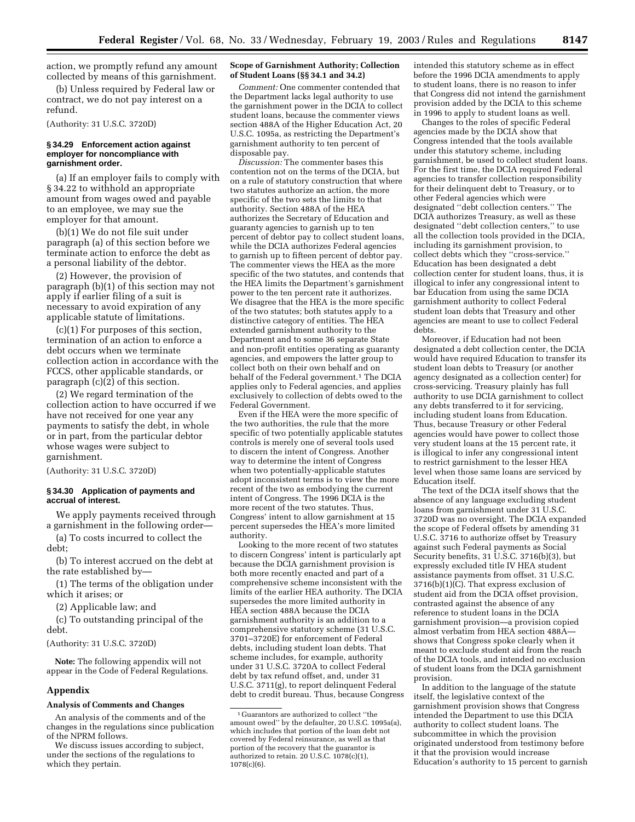action, we promptly refund any amount collected by means of this garnishment.

(b) Unless required by Federal law or contract, we do not pay interest on a refund.

(Authority: 31 U.S.C. 3720D)

#### **§ 34.29 Enforcement action against employer for noncompliance with garnishment order.**

(a) If an employer fails to comply with § 34.22 to withhold an appropriate amount from wages owed and payable to an employee, we may sue the employer for that amount.

(b)(1) We do not file suit under paragraph (a) of this section before we terminate action to enforce the debt as a personal liability of the debtor.

(2) However, the provision of paragraph (b)(1) of this section may not apply if earlier filing of a suit is necessary to avoid expiration of any applicable statute of limitations.

(c)(1) For purposes of this section, termination of an action to enforce a debt occurs when we terminate collection action in accordance with the FCCS, other applicable standards, or paragraph (c)(2) of this section.

(2) We regard termination of the collection action to have occurred if we have not received for one year any payments to satisfy the debt, in whole or in part, from the particular debtor whose wages were subject to garnishment.

(Authority: 31 U.S.C. 3720D)

#### **§ 34.30 Application of payments and accrual of interest.**

We apply payments received through a garnishment in the following order—

(a) To costs incurred to collect the debt;

(b) To interest accrued on the debt at the rate established by—

(1) The terms of the obligation under which it arises; or

(2) Applicable law; and

(c) To outstanding principal of the debt.

(Authority: 31 U.S.C. 3720D)

**Note:** The following appendix will not appear in the Code of Federal Regulations.

#### **Appendix**

#### **Analysis of Comments and Changes**

An analysis of the comments and of the changes in the regulations since publication of the NPRM follows.

We discuss issues according to subject, under the sections of the regulations to which they pertain.

#### **Scope of Garnishment Authority; Collection of Student Loans (§§ 34.1 and 34.2)**

*Comment:* One commenter contended that the Department lacks legal authority to use the garnishment power in the DCIA to collect student loans, because the commenter views section 488A of the Higher Education Act, 20 U.S.C. 1095a, as restricting the Department's garnishment authority to ten percent of disposable pay.

*Discussion:* The commenter bases this contention not on the terms of the DCIA, but on a rule of statutory construction that where two statutes authorize an action, the more specific of the two sets the limits to that authority. Section 488A of the HEA authorizes the Secretary of Education and guaranty agencies to garnish up to ten percent of debtor pay to collect student loans, while the DCIA authorizes Federal agencies to garnish up to fifteen percent of debtor pay. The commenter views the HEA as the more specific of the two statutes, and contends that the HEA limits the Department's garnishment power to the ten percent rate it authorizes. We disagree that the HEA is the more specific of the two statutes; both statutes apply to a distinctive category of entities. The HEA extended garnishment authority to the Department and to some 36 separate State and non-profit entities operating as guaranty agencies, and empowers the latter group to collect both on their own behalf and on behalf of the Federal government.<sup>1</sup> The DCIA applies only to Federal agencies, and applies exclusively to collection of debts owed to the Federal Government.

Even if the HEA were the more specific of the two authorities, the rule that the more specific of two potentially applicable statutes controls is merely one of several tools used to discern the intent of Congress. Another way to determine the intent of Congress when two potentially-applicable statutes adopt inconsistent terms is to view the more recent of the two as embodying the current intent of Congress. The 1996 DCIA is the more recent of the two statutes. Thus, Congress' intent to allow garnishment at 15 percent supersedes the HEA's more limited authority.

Looking to the more recent of two statutes to discern Congress' intent is particularly apt because the DCIA garnishment provision is both more recently enacted and part of a comprehensive scheme inconsistent with the limits of the earlier HEA authority. The DCIA supersedes the more limited authority in HEA section 488A because the DCIA garnishment authority is an addition to a comprehensive statutory scheme (31 U.S.C. 3701–3720E) for enforcement of Federal debts, including student loan debts. That scheme includes, for example, authority under 31 U.S.C. 3720A to collect Federal debt by tax refund offset, and, under 31 U.S.C. 3711(g), to report delinquent Federal debt to credit bureau. Thus, because Congress intended this statutory scheme as in effect before the 1996 DCIA amendments to apply to student loans, there is no reason to infer that Congress did not intend the garnishment provision added by the DCIA to this scheme in 1996 to apply to student loans as well.

Changes to the roles of specific Federal agencies made by the DCIA show that Congress intended that the tools available under this statutory scheme, including garnishment, be used to collect student loans. For the first time, the DCIA required Federal agencies to transfer collection responsibility for their delinquent debt to Treasury, or to other Federal agencies which were designated ''debt collection centers.'' The DCIA authorizes Treasury, as well as these designated ''debt collection centers,'' to use all the collection tools provided in the DCIA, including its garnishment provision, to collect debts which they ''cross-service.'' Education has been designated a debt collection center for student loans, thus, it is illogical to infer any congressional intent to bar Education from using the same DCIA garnishment authority to collect Federal student loan debts that Treasury and other agencies are meant to use to collect Federal debts.

Moreover, if Education had not been designated a debt collection center, the DCIA would have required Education to transfer its student loan debts to Treasury (or another agency designated as a collection center) for cross-servicing. Treasury plainly has full authority to use DCIA garnishment to collect any debts transferred to it for servicing, including student loans from Education. Thus, because Treasury or other Federal agencies would have power to collect those very student loans at the 15 percent rate, it is illogical to infer any congressional intent to restrict garnishment to the lesser HEA level when those same loans are serviced by Education itself.

The text of the DCIA itself shows that the absence of any language excluding student loans from garnishment under 31 U.S.C. 3720D was no oversight. The DCIA expanded the scope of Federal offsets by amending 31 U.S.C. 3716 to authorize offset by Treasury against such Federal payments as Social Security benefits, 31 U.S.C. 3716(b)(3), but expressly excluded title IV HEA student assistance payments from offset. 31 U.S.C. 3716(b)(1)(C). That express exclusion of student aid from the DCIA offset provision, contrasted against the absence of any reference to student loans in the DCIA garnishment provision—a provision copied almost verbatim from HEA section 488A shows that Congress spoke clearly when it meant to exclude student aid from the reach of the DCIA tools, and intended no exclusion of student loans from the DCIA garnishment provision.

In addition to the language of the statute itself, the legislative context of the garnishment provision shows that Congress intended the Department to use this DCIA authority to collect student loans. The subcommittee in which the provision originated understood from testimony before it that the provision would increase Education's authority to 15 percent to garnish

<sup>1</sup> Guarantors are authorized to collect ''the amount owed'' by the defaulter, 20 U.S.C. 1095a(a), which includes that portion of the loan debt not covered by Federal reinsurance, as well as that portion of the recovery that the guarantor is authorized to retain. 20 U.S.C. 1078(c)(1), 1078(c)(6).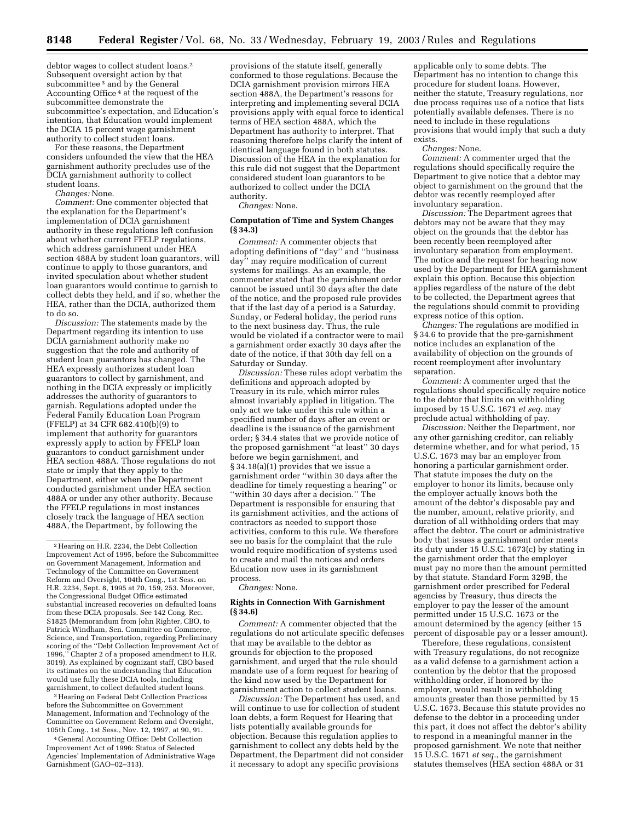debtor wages to collect student loans.<sup>2</sup> Subsequent oversight action by that subcommittee 3 and by the General Accounting Office 4 at the request of the subcommittee demonstrate the subcommittee's expectation, and Education's intention, that Education would implement the DCIA 15 percent wage garnishment authority to collect student loans.

For these reasons, the Department considers unfounded the view that the HEA garnishment authority precludes use of the DCIA garnishment authority to collect student loans.

*Changes:* None.

*Comment:* One commenter objected that the explanation for the Department's implementation of DCIA garnishment authority in these regulations left confusion about whether current FFELP regulations, which address garnishment under HEA section 488A by student loan guarantors, will continue to apply to those guarantors, and invited speculation about whether student loan guarantors would continue to garnish to collect debts they held, and if so, whether the HEA, rather than the DCIA, authorized them to do so.

*Discussion:* The statements made by the Department regarding its intention to use DCIA garnishment authority make no suggestion that the role and authority of student loan guarantors has changed. The HEA expressly authorizes student loan guarantors to collect by garnishment, and nothing in the DCIA expressly or implicitly addresses the authority of guarantors to garnish. Regulations adopted under the Federal Family Education Loan Program (FFELP) at 34 CFR 682.410(b)(9) to implement that authority for guarantors expressly apply to action by FFELP loan guarantors to conduct garnishment under HEA section 488A. Those regulations do not state or imply that they apply to the Department, either when the Department conducted garnishment under HEA section 488A or under any other authority. Because the FFELP regulations in most instances closely track the language of HEA section 488A, the Department, by following the

3Hearing on Federal Debt Collection Practices before the Subcommittee on Government Management, Information and Technology of the Committee on Government Reform and Oversight, 105th Cong., 1st Sess., Nov. 12, 1997, at 90, 91.

4 General Accounting Office: Debt Collection Improvement Act of 1996: Status of Selected Agencies' Implementation of Administrative Wage Garnishment (GAO–02–313).

provisions of the statute itself, generally conformed to those regulations. Because the DCIA garnishment provision mirrors HEA section 488A, the Department's reasons for interpreting and implementing several DCIA provisions apply with equal force to identical terms of HEA section 488A, which the Department has authority to interpret. That reasoning therefore helps clarify the intent of identical language found in both statutes. Discussion of the HEA in the explanation for this rule did not suggest that the Department considered student loan guarantors to be authorized to collect under the DCIA authority.

*Changes:* None.

#### **Computation of Time and System Changes (§ 34.3)**

*Comment:* A commenter objects that adopting definitions of ''day'' and ''business day'' may require modification of current systems for mailings. As an example, the commenter stated that the garnishment order cannot be issued until 30 days after the date of the notice, and the proposed rule provides that if the last day of a period is a Saturday, Sunday, or Federal holiday, the period runs to the next business day. Thus, the rule would be violated if a contractor were to mail a garnishment order exactly 30 days after the date of the notice, if that 30th day fell on a Saturday or Sunday.

*Discussion:* These rules adopt verbatim the definitions and approach adopted by Treasury in its rule, which mirror rules almost invariably applied in litigation. The only act we take under this rule within a specified number of days after an event or deadline is the issuance of the garnishment order; § 34.4 states that we provide notice of the proposed garnishment "at least" 30 days before we begin garnishment, and § 34.18(a)(1) provides that we issue a garnishment order ''within 30 days after the deadline for timely requesting a hearing'' or ''within 30 days after a decision.'' The Department is responsible for ensuring that its garnishment activities, and the actions of contractors as needed to support those activities, conform to this rule. We therefore see no basis for the complaint that the rule would require modification of systems used to create and mail the notices and orders Education now uses in its garnishment process.

*Changes:* None.

#### **Rights in Connection With Garnishment (§ 34.6)**

*Comment:* A commenter objected that the regulations do not articulate specific defenses that may be available to the debtor as grounds for objection to the proposed garnishment, and urged that the rule should mandate use of a form request for hearing of the kind now used by the Department for garnishment action to collect student loans.

*Discussion:* The Department has used, and will continue to use for collection of student loan debts, a form Request for Hearing that lists potentially available grounds for objection. Because this regulation applies to garnishment to collect any debts held by the Department, the Department did not consider it necessary to adopt any specific provisions

applicable only to some debts. The Department has no intention to change this procedure for student loans. However, neither the statute, Treasury regulations, nor due process requires use of a notice that lists potentially available defenses. There is no need to include in these regulations provisions that would imply that such a duty exists.

*Changes:* None.

*Comment:* A commenter urged that the regulations should specifically require the Department to give notice that a debtor may object to garnishment on the ground that the debtor was recently reemployed after involuntary separation.

*Discussion:* The Department agrees that debtors may not be aware that they may object on the grounds that the debtor has been recently been reemployed after involuntary separation from employment. The notice and the request for hearing now used by the Department for HEA garnishment explain this option. Because this objection applies regardless of the nature of the debt to be collected, the Department agrees that the regulations should commit to providing express notice of this option.

*Changes:* The regulations are modified in § 34.6 to provide that the pre-garnishment notice includes an explanation of the availability of objection on the grounds of recent reemployment after involuntary separation.

*Comment:* A commenter urged that the regulations should specifically require notice to the debtor that limits on withholding imposed by 15 U.S.C. 1671 *et seq.* may preclude actual withholding of pay.

*Discussion:* Neither the Department, nor any other garnishing creditor, can reliably determine whether, and for what period, 15 U.S.C. 1673 may bar an employer from honoring a particular garnishment order. That statute imposes the duty on the employer to honor its limits, because only the employer actually knows both the amount of the debtor's disposable pay and the number, amount, relative priority, and duration of all withholding orders that may affect the debtor. The court or administrative body that issues a garnishment order meets its duty under 15 U.S.C. 1673(c) by stating in the garnishment order that the employer must pay no more than the amount permitted by that statute. Standard Form 329B, the garnishment order prescribed for Federal agencies by Treasury, thus directs the employer to pay the lesser of the amount permitted under 15 U.S.C. 1673 or the amount determined by the agency (either 15 percent of disposable pay or a lesser amount).

Therefore, these regulations, consistent with Treasury regulations, do not recognize as a valid defense to a garnishment action a contention by the debtor that the proposed withholding order, if honored by the employer, would result in withholding amounts greater than those permitted by 15 U.S.C. 1673. Because this statute provides no defense to the debtor in a proceeding under this part, it does not affect the debtor's ability to respond in a meaningful manner in the proposed garnishment. We note that neither 15 U.S.C. 1671 *et seq.*, the garnishment statutes themselves (HEA section 488A or 31

<sup>2</sup>Hearing on H.R. 2234, the Debt Collection Improvement Act of 1995, before the Subcommittee on Government Management, Information and Technology of the Committee on Government Reform and Oversight, 104th Cong., 1st Sess. on H.R. 2234, Sept. 8, 1995 at 70, 159, 253. Moreover, the Congressional Budget Office estimated substantial increased recoveries on defaulted loans from these DCIA proposals. See 142 Cong. Rec. S1825 (Memorandum from John Righter, CBO, to Patrick Windham, Sen. Committee on Commerce, Science, and Transportation, regarding Preliminary scoring of the ''Debt Collection Improvement Act of 1996,'' Chapter 2 of a proposed amendment to H.R. 3019). As explained by cognizant staff, CBO based its estimates on the understanding that Education would use fully these DCIA tools, including garnishment, to collect defaulted student loans.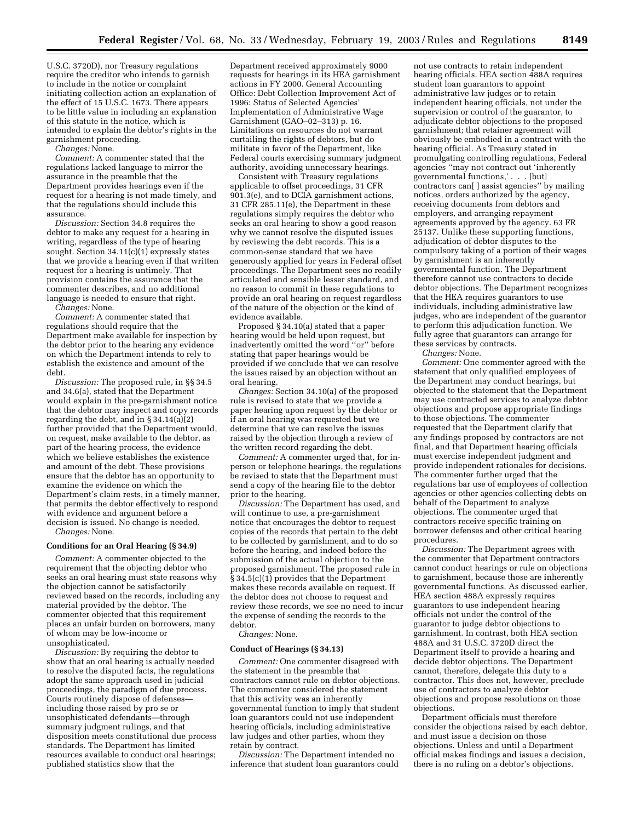U.S.C. 3720D), nor Treasury regulations require the creditor who intends to garnish to include in the notice or complaint initiating collection action an explanation of the effect of 15 U.S.C. 1673. There appears to be little value in including an explanation of this statute in the notice, which is intended to explain the debtor's rights in the garnishment proceeding.

*Changes:* None.

*Comment:* A commenter stated that the regulations lacked language to mirror the assurance in the preamble that the Department provides hearings even if the request for a hearing is not made timely, and that the regulations should include this assurance.

*Discussion:* Section 34.8 requires the debtor to make any request for a hearing in writing, regardless of the type of hearing sought. Section 34.11(c)(1) expressly states that we provide a hearing even if that written request for a hearing is untimely. That provision contains the assurance that the commenter describes, and no additional language is needed to ensure that right.

*Changes:* None.

*Comment:* A commenter stated that regulations should require that the Department make available for inspection by the debtor prior to the hearing any evidence on which the Department intends to rely to establish the existence and amount of the debt.

*Discussion:* The proposed rule, in §§ 34.5 and 34.6(a), stated that the Department would explain in the pre-garnishment notice that the debtor may inspect and copy records regarding the debt, and in § 34.14(a)(2) further provided that the Department would, on request, make available to the debtor, as part of the hearing process, the evidence which we believe establishes the existence and amount of the debt. These provisions ensure that the debtor has an opportunity to examine the evidence on which the Department's claim rests, in a timely manner, that permits the debtor effectively to respond with evidence and argument before a decision is issued. No change is needed. *Changes:* None.

#### **Conditions for an Oral Hearing (§ 34.9)**

*Comment:* A commenter objected to the requirement that the objecting debtor who seeks an oral hearing must state reasons why the objection cannot be satisfactorily reviewed based on the records, including any material provided by the debtor. The commenter objected that this requirement places an unfair burden on borrowers, many of whom may be low-income or unsophisticated.

*Discussion:* By requiring the debtor to show that an oral hearing is actually needed to resolve the disputed facts, the regulations adopt the same approach used in judicial proceedings, the paradigm of due process. Courts routinely dispose of defenses including those raised by pro se or unsophisticated defendants—through summary judgment rulings, and that disposition meets constitutional due process standards. The Department has limited resources available to conduct oral hearings; published statistics show that the

Department received approximately 9000 requests for hearings in its HEA garnishment actions in FY 2000. General Accounting Office: Debt Collection Improvement Act of 1996: Status of Selected Agencies' Implementation of Administrative Wage Garnishment (GAO–02–313) p. 16. Limitations on resources do not warrant curtailing the rights of debtors, but do militate in favor of the Department, like Federal courts exercising summary judgment authority, avoiding unnecessary hearings.

Consistent with Treasury regulations applicable to offset proceedings, 31 CFR 901.3(e), and to DCIA garnishment actions, 31 CFR 285.11(e), the Department in these regulations simply requires the debtor who seeks an oral hearing to show a good reason why we cannot resolve the disputed issues by reviewing the debt records. This is a common-sense standard that we have generously applied for years in Federal offset proceedings. The Department sees no readily articulated and sensible lesser standard, and no reason to commit in these regulations to provide an oral hearing on request regardless of the nature of the objection or the kind of evidence available.

Proposed § 34.10(a) stated that a paper hearing would be held upon request, but inadvertently omitted the word ''or'' before stating that paper hearings would be provided if we conclude that we can resolve the issues raised by an objection without an oral hearing.

*Changes:* Section 34.10(a) of the proposed rule is revised to state that we provide a paper hearing upon request by the debtor or if an oral hearing was requested but we determine that we can resolve the issues raised by the objection through a review of the written record regarding the debt.

*Comment:* A commenter urged that, for inperson or telephone hearings, the regulations be revised to state that the Department must send a copy of the hearing file to the debtor prior to the hearing.

*Discussion:* The Department has used, and will continue to use, a pre-garnishment notice that encourages the debtor to request copies of the records that pertain to the debt to be collected by garnishment, and to do so before the hearing, and indeed before the submission of the actual objection to the proposed garnishment. The proposed rule in § 34.5(c)(1) provides that the Department makes these records available on request. If the debtor does not choose to request and review these records, we see no need to incur the expense of sending the records to the debtor. *Changes:* None.

# **Conduct of Hearings (§ 34.13)**

*Comment:* One commenter disagreed with the statement in the preamble that contractors cannot rule on debtor objections. The commenter considered the statement that this activity was an inherently governmental function to imply that student loan guarantors could not use independent hearing officials, including administrative law judges and other parties, whom they retain by contract.

*Discussion:* The Department intended no inference that student loan guarantors could

not use contracts to retain independent hearing officials. HEA section 488A requires student loan guarantors to appoint administrative law judges or to retain independent hearing officials, not under the supervision or control of the guarantor, to adjudicate debtor objections to the proposed garnishment; that retainer agreement will obviously be embodied in a contract with the hearing official. As Treasury stated in promulgating controlling regulations, Federal agencies ''may not contract out 'inherently governmental functions,' . . . [but] contractors can[ ] assist agencies'' by mailing notices, orders authorized by the agency, receiving documents from debtors and employers, and arranging repayment agreements approved by the agency. 63 FR 25137. Unlike these supporting functions, adjudication of debtor disputes to the compulsory taking of a portion of their wages by garnishment is an inherently governmental function. The Department therefore cannot use contractors to decide debtor objections. The Department recognizes that the HEA requires guarantors to use individuals, including administrative law judges, who are independent of the guarantor to perform this adjudication function. We fully agree that guarantors can arrange for these services by contracts.

*Changes:* None.

*Comment:* One commenter agreed with the statement that only qualified employees of the Department may conduct hearings, but objected to the statement that the Department may use contracted services to analyze debtor objections and propose appropriate findings to those objections. The commenter requested that the Department clarify that any findings proposed by contractors are not final, and that Department hearing officials must exercise independent judgment and provide independent rationales for decisions. The commenter further urged that the regulations bar use of employees of collection agencies or other agencies collecting debts on behalf of the Department to analyze objections. The commenter urged that contractors receive specific training on borrower defenses and other critical hearing procedures.

*Discussion:* The Department agrees with the commenter that Department contractors cannot conduct hearings or rule on objections to garnishment, because those are inherently governmental functions. As discussed earlier, HEA section 488A expressly requires guarantors to use independent hearing officials not under the control of the guarantor to judge debtor objections to garnishment. In contrast, both HEA section 488A and 31 U.S.C. 3720D direct the Department itself to provide a hearing and decide debtor objections. The Department cannot, therefore, delegate this duty to a contractor. This does not, however, preclude use of contractors to analyze debtor objections and propose resolutions on those objections.

Department officials must therefore consider the objections raised by each debtor, and must issue a decision on those objections. Unless and until a Department official makes findings and issues a decision, there is no ruling on a debtor's objections.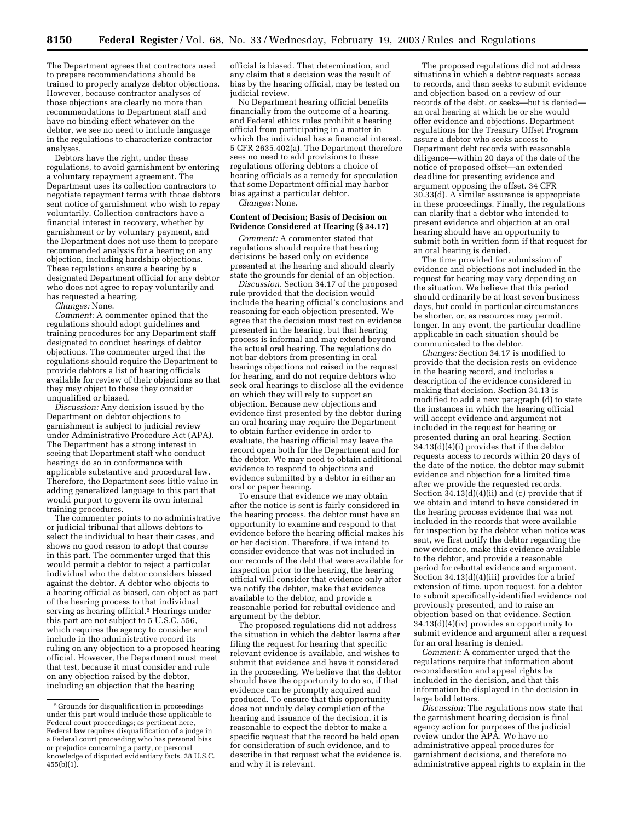The Department agrees that contractors used to prepare recommendations should be trained to properly analyze debtor objections. However, because contractor analyses of those objections are clearly no more than recommendations to Department staff and have no binding effect whatever on the debtor, we see no need to include language in the regulations to characterize contractor analyses.

Debtors have the right, under these regulations, to avoid garnishment by entering a voluntary repayment agreement. The Department uses its collection contractors to negotiate repayment terms with those debtors sent notice of garnishment who wish to repay voluntarily. Collection contractors have a financial interest in recovery, whether by garnishment or by voluntary payment, and the Department does not use them to prepare recommended analysis for a hearing on any objection, including hardship objections. These regulations ensure a hearing by a designated Department official for any debtor who does not agree to repay voluntarily and has requested a hearing.

*Changes:* None.

*Comment:* A commenter opined that the regulations should adopt guidelines and training procedures for any Department staff designated to conduct hearings of debtor objections. The commenter urged that the regulations should require the Department to provide debtors a list of hearing officials available for review of their objections so that they may object to those they consider unqualified or biased.

*Discussion:* Any decision issued by the Department on debtor objections to garnishment is subject to judicial review under Administrative Procedure Act (APA). The Department has a strong interest in seeing that Department staff who conduct hearings do so in conformance with applicable substantive and procedural law. Therefore, the Department sees little value in adding generalized language to this part that would purport to govern its own internal training procedures.

The commenter points to no administrative or judicial tribunal that allows debtors to select the individual to hear their cases, and shows no good reason to adopt that course in this part. The commenter urged that this would permit a debtor to reject a particular individual who the debtor considers biased against the debtor. A debtor who objects to a hearing official as biased, can object as part of the hearing process to that individual serving as hearing official.<sup>5</sup> Hearings under this part are not subject to 5 U.S.C. 556, which requires the agency to consider and include in the administrative record its ruling on any objection to a proposed hearing official. However, the Department must meet that test, because it must consider and rule on any objection raised by the debtor, including an objection that the hearing

official is biased. That determination, and any claim that a decision was the result of bias by the hearing official, may be tested on judicial review.

No Department hearing official benefits financially from the outcome of a hearing, and Federal ethics rules prohibit a hearing official from participating in a matter in which the individual has a financial interest. 5 CFR 2635.402(a). The Department therefore sees no need to add provisions to these regulations offering debtors a choice of hearing officials as a remedy for speculation that some Department official may harbor bias against a particular debtor.

*Changes:* None.

#### **Content of Decision; Basis of Decision on Evidence Considered at Hearing (§ 34.17)**

*Comment:* A commenter stated that regulations should require that hearing decisions be based only on evidence presented at the hearing and should clearly state the grounds for denial of an objection.

*Discussion.* Section 34.17 of the proposed rule provided that the decision would include the hearing official's conclusions and reasoning for each objection presented. We agree that the decision must rest on evidence presented in the hearing, but that hearing process is informal and may extend beyond the actual oral hearing. The regulations do not bar debtors from presenting in oral hearings objections not raised in the request for hearing, and do not require debtors who seek oral hearings to disclose all the evidence on which they will rely to support an objection. Because new objections and evidence first presented by the debtor during an oral hearing may require the Department to obtain further evidence in order to evaluate, the hearing official may leave the record open both for the Department and for the debtor. We may need to obtain additional evidence to respond to objections and evidence submitted by a debtor in either an oral or paper hearing.

To ensure that evidence we may obtain after the notice is sent is fairly considered in the hearing process, the debtor must have an opportunity to examine and respond to that evidence before the hearing official makes his or her decision. Therefore, if we intend to consider evidence that was not included in our records of the debt that were available for inspection prior to the hearing, the hearing official will consider that evidence only after we notify the debtor, make that evidence available to the debtor, and provide a reasonable period for rebuttal evidence and argument by the debtor.

The proposed regulations did not address the situation in which the debtor learns after filing the request for hearing that specific relevant evidence is available, and wishes to submit that evidence and have it considered in the proceeding. We believe that the debtor should have the opportunity to do so, if that evidence can be promptly acquired and produced. To ensure that this opportunity does not unduly delay completion of the hearing and issuance of the decision, it is reasonable to expect the debtor to make a specific request that the record be held open for consideration of such evidence, and to describe in that request what the evidence is, and why it is relevant.

The proposed regulations did not address situations in which a debtor requests access to records, and then seeks to submit evidence and objection based on a review of our records of the debt, or seeks—but is denied an oral hearing at which he or she would offer evidence and objections. Department regulations for the Treasury Offset Program assure a debtor who seeks access to Department debt records with reasonable diligence—within 20 days of the date of the notice of proposed offset—an extended deadline for presenting evidence and argument opposing the offset. 34 CFR 30.33(d). A similar assurance is appropriate in these proceedings. Finally, the regulations can clarify that a debtor who intended to present evidence and objection at an oral hearing should have an opportunity to submit both in written form if that request for an oral hearing is denied.

The time provided for submission of evidence and objections not included in the request for hearing may vary depending on the situation. We believe that this period should ordinarily be at least seven business days, but could in particular circumstances be shorter, or, as resources may permit, longer. In any event, the particular deadline applicable in each situation should be communicated to the debtor.

*Changes:* Section 34.17 is modified to provide that the decision rests on evidence in the hearing record, and includes a description of the evidence considered in making that decision. Section 34.13 is modified to add a new paragraph (d) to state the instances in which the hearing official will accept evidence and argument not included in the request for hearing or presented during an oral hearing. Section 34.13(d)(4)(i) provides that if the debtor requests access to records within 20 days of the date of the notice, the debtor may submit evidence and objection for a limited time after we provide the requested records. Section  $34.13(d)(4)(ii)$  and (c) provide that if we obtain and intend to have considered in the hearing process evidence that was not included in the records that were available for inspection by the debtor when notice was sent, we first notify the debtor regarding the new evidence, make this evidence available to the debtor, and provide a reasonable period for rebuttal evidence and argument. Section 34.13(d)(4)(iii) provides for a brief extension of time, upon request, for a debtor to submit specifically-identified evidence not previously presented, and to raise an objection based on that evidence. Section 34.13(d)(4)(iv) provides an opportunity to submit evidence and argument after a request for an oral hearing is denied.

*Comment:* A commenter urged that the regulations require that information about reconsideration and appeal rights be included in the decision, and that this information be displayed in the decision in large bold letters.

*Discussion:* The regulations now state that the garnishment hearing decision is final agency action for purposes of the judicial review under the APA. We have no administrative appeal procedures for garnishment decisions, and therefore no administrative appeal rights to explain in the

<sup>5</sup> Grounds for disqualification in proceedings under this part would include those applicable to Federal court proceedings; as pertinent here, Federal law requires disqualification of a judge in a Federal court proceeding who has personal bias or prejudice concerning a party, or personal knowledge of disputed evidentiary facts. 28 U.S.C.  $455(b)(1)$ .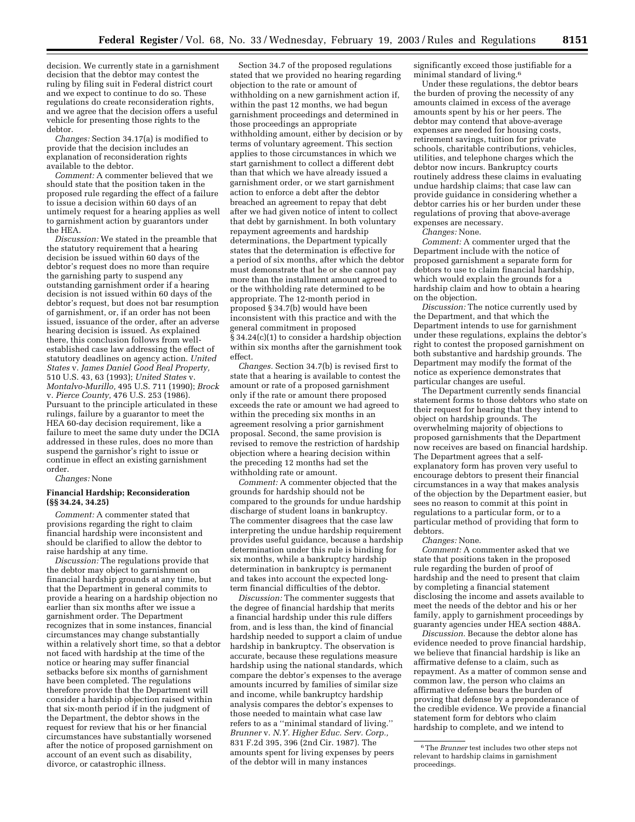decision. We currently state in a garnishment decision that the debtor may contest the ruling by filing suit in Federal district court and we expect to continue to do so. These regulations do create reconsideration rights, and we agree that the decision offers a useful vehicle for presenting those rights to the debtor.

*Changes:* Section 34.17(a) is modified to provide that the decision includes an explanation of reconsideration rights available to the debtor.

*Comment:* A commenter believed that we should state that the position taken in the proposed rule regarding the effect of a failure to issue a decision within 60 days of an untimely request for a hearing applies as well to garnishment action by guarantors under the HEA.

*Discussion:* We stated in the preamble that the statutory requirement that a hearing decision be issued within 60 days of the debtor's request does no more than require the garnishing party to suspend any outstanding garnishment order if a hearing decision is not issued within 60 days of the debtor's request, but does not bar resumption of garnishment, or, if an order has not been issued, issuance of the order, after an adverse hearing decision is issued. As explained there, this conclusion follows from wellestablished case law addressing the effect of statutory deadlines on agency action. *United States* v. *James Daniel Good Real Property,* 510 U.S. 43, 63 (1993); *United States* v. *Montalvo-Murillo,* 495 U.S. 711 (1990); *Brock* v. *Pierce County,* 476 U.S. 253 (1986). Pursuant to the principle articulated in these rulings, failure by a guarantor to meet the HEA 60-day decision requirement, like a failure to meet the same duty under the DCIA addressed in these rules, does no more than suspend the garnishor's right to issue or continue in effect an existing garnishment order.

*Changes:* None

#### **Financial Hardship; Reconsideration (§§ 34.24, 34.25)**

*Comment:* A commenter stated that provisions regarding the right to claim financial hardship were inconsistent and should be clarified to allow the debtor to raise hardship at any time.

*Discussion:* The regulations provide that the debtor may object to garnishment on financial hardship grounds at any time, but that the Department in general commits to provide a hearing on a hardship objection no earlier than six months after we issue a garnishment order. The Department recognizes that in some instances, financial circumstances may change substantially within a relatively short time, so that a debtor not faced with hardship at the time of the notice or hearing may suffer financial setbacks before six months of garnishment have been completed. The regulations therefore provide that the Department will consider a hardship objection raised within that six-month period if in the judgment of the Department, the debtor shows in the request for review that his or her financial circumstances have substantially worsened after the notice of proposed garnishment on account of an event such as disability, divorce, or catastrophic illness.

Section 34.7 of the proposed regulations stated that we provided no hearing regarding objection to the rate or amount of withholding on a new garnishment action if, within the past 12 months, we had begun garnishment proceedings and determined in those proceedings an appropriate withholding amount, either by decision or by terms of voluntary agreement. This section applies to those circumstances in which we start garnishment to collect a different debt than that which we have already issued a garnishment order, or we start garnishment action to enforce a debt after the debtor breached an agreement to repay that debt after we had given notice of intent to collect that debt by garnishment. In both voluntary repayment agreements and hardship determinations, the Department typically states that the determination is effective for a period of six months, after which the debtor must demonstrate that he or she cannot pay more than the installment amount agreed to or the withholding rate determined to be appropriate. The 12-month period in proposed § 34.7(b) would have been inconsistent with this practice and with the general commitment in proposed § 34.24(c)(1) to consider a hardship objection within six months after the garnishment took effect.

*Changes.* Section 34.7(b) is revised first to state that a hearing is available to contest the amount or rate of a proposed garnishment only if the rate or amount there proposed exceeds the rate or amount we had agreed to within the preceding six months in an agreement resolving a prior garnishment proposal. Second, the same provision is revised to remove the restriction of hardship objection where a hearing decision within the preceding 12 months had set the withholding rate or amount.

*Comment:* A commenter objected that the grounds for hardship should not be compared to the grounds for undue hardship discharge of student loans in bankruptcy. The commenter disagrees that the case law interpreting the undue hardship requirement provides useful guidance, because a hardship determination under this rule is binding for six months, while a bankruptcy hardship determination in bankruptcy is permanent and takes into account the expected longterm financial difficulties of the debtor.

*Discussion:* The commenter suggests that the degree of financial hardship that merits a financial hardship under this rule differs from, and is less than, the kind of financial hardship needed to support a claim of undue hardship in bankruptcy. The observation is accurate, because these regulations measure hardship using the national standards, which compare the debtor's expenses to the average amounts incurred by families of similar size and income, while bankruptcy hardship analysis compares the debtor's expenses to those needed to maintain what case law refers to as a ''minimal standard of living.'' *Brunner* v. *N.Y. Higher Educ. Serv. Corp.,* 831 F.2d 395, 396 (2nd Cir. 1987). The amounts spent for living expenses by peers of the debtor will in many instances

significantly exceed those justifiable for a minimal standard of living.6

Under these regulations, the debtor bears the burden of proving the necessity of any amounts claimed in excess of the average amounts spent by his or her peers. The debtor may contend that above-average expenses are needed for housing costs, retirement savings, tuition for private schools, charitable contributions, vehicles, utilities, and telephone charges which the debtor now incurs. Bankruptcy courts routinely address these claims in evaluating undue hardship claims; that case law can provide guidance in considering whether a debtor carries his or her burden under these regulations of proving that above-average expenses are necessary.

*Changes:* None.

*Comment:* A commenter urged that the Department include with the notice of proposed garnishment a separate form for debtors to use to claim financial hardship, which would explain the grounds for a hardship claim and how to obtain a hearing on the objection.

*Discussion:* The notice currently used by the Department, and that which the Department intends to use for garnishment under these regulations, explains the debtor's right to contest the proposed garnishment on both substantive and hardship grounds. The Department may modify the format of the notice as experience demonstrates that particular changes are useful.

The Department currently sends financial statement forms to those debtors who state on their request for hearing that they intend to object on hardship grounds. The overwhelming majority of objections to proposed garnishments that the Department now receives are based on financial hardship. The Department agrees that a selfexplanatory form has proven very useful to encourage debtors to present their financial circumstances in a way that makes analysis of the objection by the Department easier, but sees no reason to commit at this point in regulations to a particular form, or to a particular method of providing that form to debtors.

*Changes:* None.

*Comment:* A commenter asked that we state that positions taken in the proposed rule regarding the burden of proof of hardship and the need to present that claim by completing a financial statement disclosing the income and assets available to meet the needs of the debtor and his or her family, apply to garnishment proceedings by guaranty agencies under HEA section 488A.

*Discussion.* Because the debtor alone has evidence needed to prove financial hardship, we believe that financial hardship is like an affirmative defense to a claim, such as repayment. As a matter of common sense and common law, the person who claims an affirmative defense bears the burden of proving that defense by a preponderance of the credible evidence. We provide a financial statement form for debtors who claim hardship to complete, and we intend to

<sup>6</sup>The *Brunner* test includes two other steps not relevant to hardship claims in garnishment proceedings.